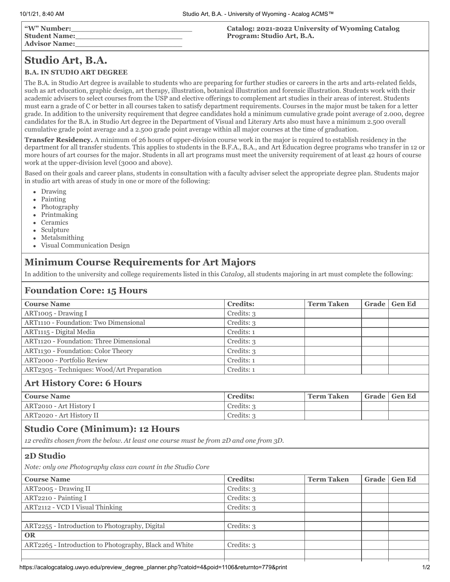| <b>W"</b> Number:<br>  Student Name:<br><b>Advisor Name:</b> | Catalog: 2021-2022 University of Wyoming Catalog<br>Program: Studio Art, B.A. |
|--------------------------------------------------------------|-------------------------------------------------------------------------------|
|                                                              |                                                                               |

# **Studio Art, B.A.**

#### **B.A. IN STUDIO ART DEGREE**

The B.A. in Studio Art degree is available to students who are preparing for further studies or careers in the arts and arts-related fields, such as art education, graphic design, art therapy, illustration, botanical illustration and forensic illustration. Students work with their academic advisers to select courses from the USP and elective offerings to complement art studies in their areas of interest. Students must earn a grade of C or better in all courses taken to satisfy department requirements. Courses in the major must be taken for a letter grade. In addition to the university requirement that degree candidates hold a minimum cumulative grade point average of 2.000, degree candidates for the B.A. in Studio Art degree in the Department of Visual and Literary Arts also must have a minimum 2.500 overall cumulative grade point average and a 2.500 grade point average within all major courses at the time of graduation.

**Transfer Residency.** A minimum of 26 hours of upper-division course work in the major is required to establish residency in the department for all transfer students. This applies to students in the B.F.A., B.A., and Art Education degree programs who transfer in 12 or more hours of art courses for the major. Students in all art programs must meet the university requirement of at least 42 hours of course work at the upper-division level (3000 and above).

Based on their goals and career plans, students in consultation with a faculty adviser select the appropriate degree plan. Students major in studio art with areas of study in one or more of the following:

- Drawing
- Painting
- Photography
- Printmaking
- Ceramics
- Sculpture
- Metalsmithing
- Visual Communication Design

# **Minimum Course Requirements for Art Majors**

In addition to the university and college requirements listed in this *Catalog*, all students majoring in art must complete the following:

#### **Foundation Core: 15 Hours**

| <b>Course Name</b>                         | <b>Credits:</b> | <b>Term Taken</b> | Grade   Gen Ed |
|--------------------------------------------|-----------------|-------------------|----------------|
| ART1005 - Drawing I                        | Credits: 3      |                   |                |
| ART1110 - Foundation: Two Dimensional      | Credits: 3      |                   |                |
| ART1115 - Digital Media                    | Credits: 1      |                   |                |
| ART1120 - Foundation: Three Dimensional    | Credits: 3      |                   |                |
| ART1130 - Foundation: Color Theory         | Credits: 3      |                   |                |
| ART2000 - Portfolio Review                 | Credits: 1      |                   |                |
| ART2305 - Techniques: Wood/Art Preparation | Credits: 1      |                   |                |

## **Art History Core: 6 Hours**

| <b>Course Name</b>       | <b>Credits:</b> | <b>Term Taken</b> | Grade   Gen Ed |
|--------------------------|-----------------|-------------------|----------------|
| ART2010 - Art History I  | Credits: 3      |                   |                |
| ART2020 - Art History II | Credits: 3      |                   |                |

## **Studio Core (Minimum): 12 Hours**

*12 credits chosen from the below. At least one course must be from 2D and one from 3D.*

#### **2D Studio**

*Note: only one Photography class can count in the Studio Core*

| <b>Course Name</b>                                     | <b>Credits:</b> | <b>Term Taken</b> | Grade   Gen Ed |
|--------------------------------------------------------|-----------------|-------------------|----------------|
| ART2005 - Drawing II                                   | Credits: 3      |                   |                |
| ART2210 - Painting I                                   | Credits: 3      |                   |                |
| ART2112 - VCD I Visual Thinking                        | Credits: 3      |                   |                |
|                                                        |                 |                   |                |
| ART2255 - Introduction to Photography, Digital         | Credits: 3      |                   |                |
| <b>OR</b>                                              |                 |                   |                |
| ART2265 - Introduction to Photography, Black and White | Credits: 3      |                   |                |
|                                                        |                 |                   |                |